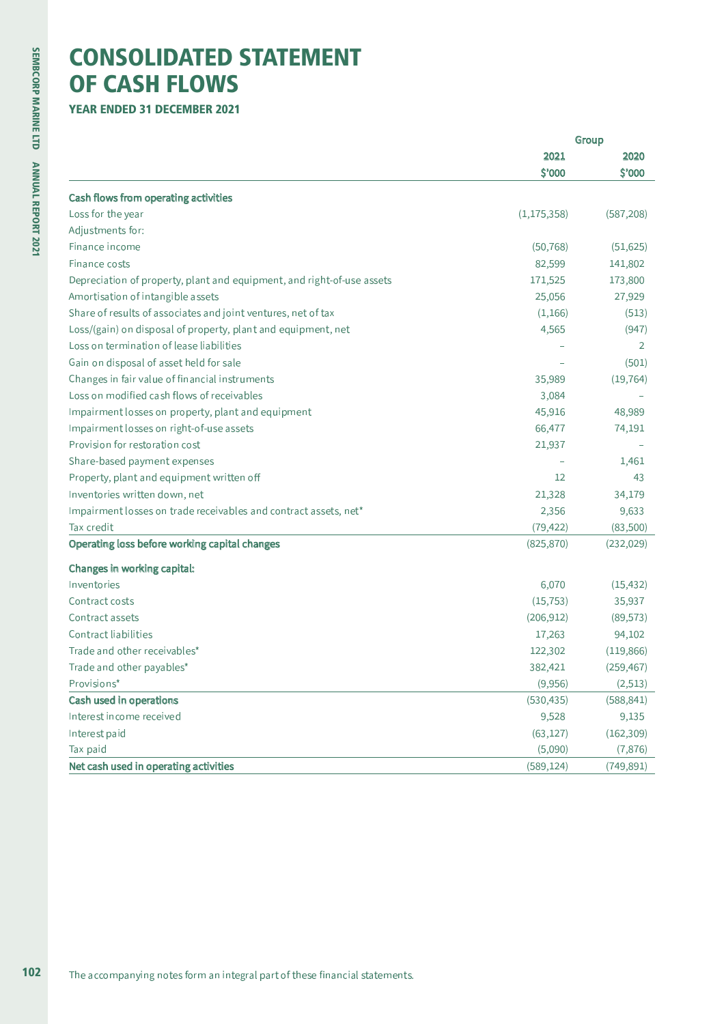## **CONSOLIDATED STATEMENT OF CASH FLOWS**

**YEAR ENDED 31 DECEMBER 2021** 

|                                                                        |                | Group          |
|------------------------------------------------------------------------|----------------|----------------|
|                                                                        | 2021<br>\$'000 | 2020<br>\$'000 |
|                                                                        |                |                |
| Cash flows from operating activities                                   |                |                |
| Loss for the year                                                      | (1, 175, 358)  | (587, 208)     |
| Adjustments for:                                                       |                |                |
| Finance income                                                         | (50, 768)      | (51, 625)      |
| Finance costs                                                          | 82,599         | 141,802        |
| Depreciation of property, plant and equipment, and right-of-use assets | 171,525        | 173,800        |
| Amortisation of intangible assets                                      | 25,056         | 27,929         |
| Share of results of associates and joint ventures, net of tax          | (1, 166)       | (513)          |
| Loss/(gain) on disposal of property, plant and equipment, net          | 4,565          | (947)          |
| Loss on termination of lease liabilities                               |                | 2              |
| Gain on disposal of asset held for sale                                |                | (501)          |
| Changes in fair value of financial instruments                         | 35,989         | (19, 764)      |
| Loss on modified cash flows of receivables                             | 3,084          |                |
| Impairment losses on property, plant and equipment                     | 45,916         | 48,989         |
| Impairment losses on right-of-use assets                               | 66,477         | 74,191         |
| Provision for restoration cost                                         | 21,937         |                |
| Share-based payment expenses                                           |                | 1,461          |
| Property, plant and equipment written off                              | 12             | 43             |
| Inventories written down, net                                          | 21,328         | 34,179         |
| Impairment losses on trade receivables and contract assets, net*       | 2,356          | 9,633          |
| Tax credit                                                             | (79, 422)      | (83,500)       |
| Operating loss before working capital changes                          | (825, 870)     | (232, 029)     |
| Changes in working capital:                                            |                |                |
| Inventories                                                            | 6,070          | (15, 432)      |
| Contract costs                                                         | (15, 753)      | 35,937         |
| Contract assets                                                        | (206, 912)     | (89, 573)      |
| <b>Contract liabilities</b>                                            | 17,263         | 94,102         |
| Trade and other receivables*                                           | 122,302        | (119, 866)     |
| Trade and other payables*                                              | 382,421        | (259, 467)     |
| Provisions*                                                            | (9,956)        | (2, 513)       |
| Cash used in operations                                                | (530, 435)     | (588, 841)     |
| Interest income received                                               | 9,528          | 9,135          |
| Interest paid                                                          | (63, 127)      | (162, 309)     |
| Tax paid                                                               | (5,090)        | (7,876)        |
| Net cash used in operating activities                                  | (589, 124)     | (749, 891)     |